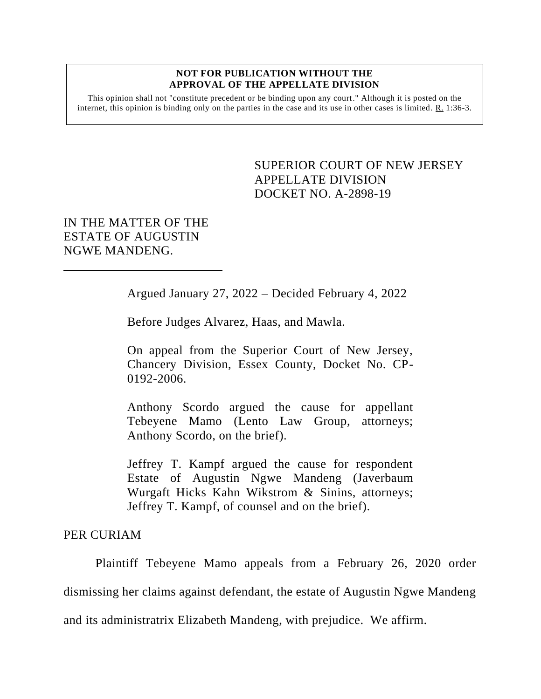## **NOT FOR PUBLICATION WITHOUT THE APPROVAL OF THE APPELLATE DIVISION**

This opinion shall not "constitute precedent or be binding upon any court." Although it is posted on the internet, this opinion is binding only on the parties in the case and its use in other cases is limited.  $R_1$  1:36-3.

> <span id="page-0-0"></span>SUPERIOR COURT OF NEW JERSEY APPELLATE DIVISION DOCKET NO. A-2898-19

IN THE MATTER OF THE ESTATE OF AUGUSTIN NGWE MANDENG.

Argued January 27, 2022 – Decided February 4, 2022

Before Judges Alvarez, Haas, and Mawla.

On appeal from the Superior Court of New Jersey, Chancery Division, Essex County, Docket No. CP-0192-2006.

Anthony Scordo argued the cause for appellant Tebeyene Mamo (Lento Law Group, attorneys; Anthony Scordo, on the brief).

Jeffrey T. Kampf argued the cause for respondent Estate of Augustin Ngwe Mandeng (Javerbaum Wurgaft Hicks Kahn Wikstrom & Sinins, attorneys; Jeffrey T. Kampf, of counsel and on the brief).

## PER CURIAM

Plaintiff Tebeyene Mamo appeals from a February 26, 2020 order dismissing her claims against defendant, the estate of Augustin Ngwe Mandeng and its administratrix Elizabeth Mandeng, with prejudice. We affirm.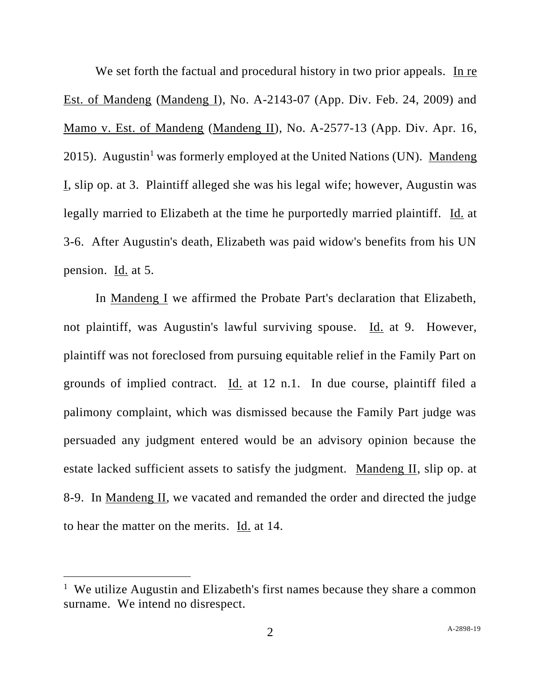We set forth the factual and procedural history in two prior appeals. In re Est. of Mandeng (Mandeng I), No. A-2143-07 (App. Div. Feb. 24, 2009) and Mamo v. Est. of Mandeng (Mandeng II), No. A-2577-13 (App. Div. Apr. 16, 2015). Augustin<sup>1</sup> was formerly employed at the United Nations (UN). Mandeng I, slip op. at 3. Plaintiff alleged she was his legal wife; however, Augustin was legally married to Elizabeth at the time he purportedly married plaintiff. Id. at 3-6. After Augustin's death, Elizabeth was paid widow's benefits from his UN pension. Id. at 5.

In Mandeng I we affirmed the Probate Part's declaration that Elizabeth, not plaintiff, was Augustin's lawful surviving spouse. Id. at 9. However, plaintiff was not foreclosed from pursuing equitable relief in the Family Part on grounds of implied contract. Id. at 12 n.1. In due course, plaintiff filed a palimony complaint, which was dismissed because the Family Part judge was persuaded any judgment entered would be an advisory opinion because the estate lacked sufficient assets to satisfy the judgment. Mandeng II, slip op. at 8-9. In Mandeng II, we vacated and remanded the order and directed the judge to hear the matter on the merits. Id. at 14.

<sup>&</sup>lt;sup>1</sup> We utilize Augustin and Elizabeth's first names because they share a common surname. We intend no disrespect.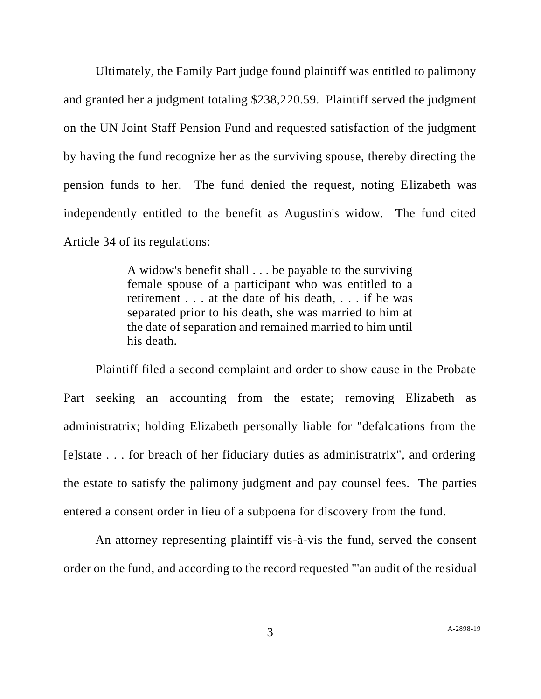Ultimately, the Family Part judge found plaintiff was entitled to palimony and granted her a judgment totaling \$238,220.59. Plaintiff served the judgment on the UN Joint Staff Pension Fund and requested satisfaction of the judgment by having the fund recognize her as the surviving spouse, thereby directing the pension funds to her. The fund denied the request, noting Elizabeth was independently entitled to the benefit as Augustin's widow. The fund cited Article 34 of its regulations:

> A widow's benefit shall . . . be payable to the surviving female spouse of a participant who was entitled to a retirement . . . at the date of his death, . . . if he was separated prior to his death, she was married to him at the date of separation and remained married to him until his death.

Plaintiff filed a second complaint and order to show cause in the Probate Part seeking an accounting from the estate; removing Elizabeth as administratrix; holding Elizabeth personally liable for "defalcations from the [e]state . . . for breach of her fiduciary duties as administratrix", and ordering the estate to satisfy the palimony judgment and pay counsel fees. The parties entered a consent order in lieu of a subpoena for discovery from the fund.

An attorney representing plaintiff vis-à-vis the fund, served the consent order on the fund, and according to the record requested "'an audit of the residual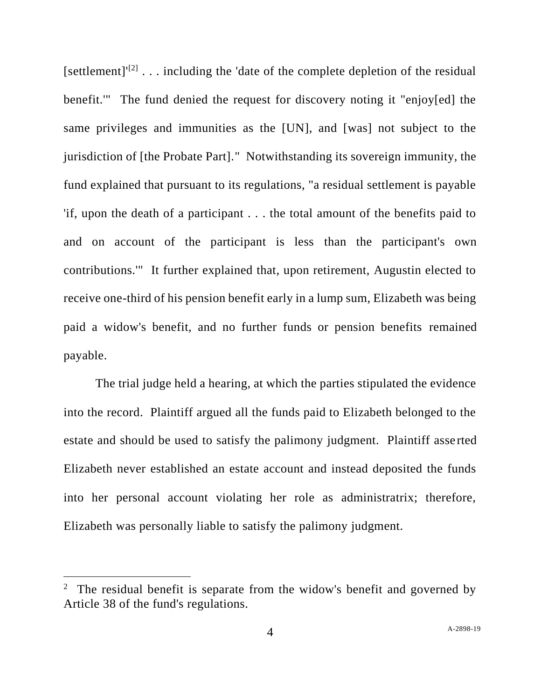[settlement] $[2]$ ... including the 'date of the complete depletion of the residual benefit.'" The fund denied the request for discovery noting it "enjoy[ed] the same privileges and immunities as the [UN], and [was] not subject to the jurisdiction of [the Probate Part]." Notwithstanding its sovereign immunity, the fund explained that pursuant to its regulations, "a residual settlement is payable 'if, upon the death of a participant . . . the total amount of the benefits paid to and on account of the participant is less than the participant's own contributions.'" It further explained that, upon retirement, Augustin elected to receive one-third of his pension benefit early in a lump sum, Elizabeth was being paid a widow's benefit, and no further funds or pension benefits remained payable.

The trial judge held a hearing, at which the parties stipulated the evidence into the record. Plaintiff argued all the funds paid to Elizabeth belonged to the estate and should be used to satisfy the palimony judgment. Plaintiff asse rted Elizabeth never established an estate account and instead deposited the funds into her personal account violating her role as administratrix; therefore, Elizabeth was personally liable to satisfy the palimony judgment.

<sup>&</sup>lt;sup>2</sup> The residual benefit is separate from the widow's benefit and governed by Article 38 of the fund's regulations.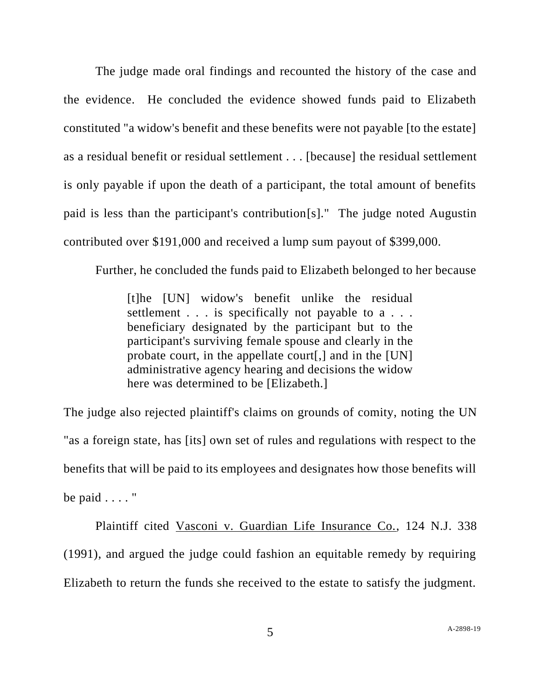The judge made oral findings and recounted the history of the case and the evidence. He concluded the evidence showed funds paid to Elizabeth constituted "a widow's benefit and these benefits were not payable [to the estate] as a residual benefit or residual settlement . . . [because] the residual settlement is only payable if upon the death of a participant, the total amount of benefits paid is less than the participant's contribution[s]." The judge noted Augustin contributed over \$191,000 and received a lump sum payout of \$399,000.

Further, he concluded the funds paid to Elizabeth belonged to her because

[t]he [UN] widow's benefit unlike the residual settlement . . . is specifically not payable to a . . . beneficiary designated by the participant but to the participant's surviving female spouse and clearly in the probate court, in the appellate court[,] and in the [UN] administrative agency hearing and decisions the widow here was determined to be [Elizabeth.]

The judge also rejected plaintiff's claims on grounds of comity, noting the UN "as a foreign state, has [its] own set of rules and regulations with respect to the benefits that will be paid to its employees and designates how those benefits will be paid  $\ldots$ ."

Plaintiff cited Vasconi v. Guardian Life Insurance Co., 124 N.J. 338 (1991), and argued the judge could fashion an equitable remedy by requiring Elizabeth to return the funds she received to the estate to satisfy the judgment.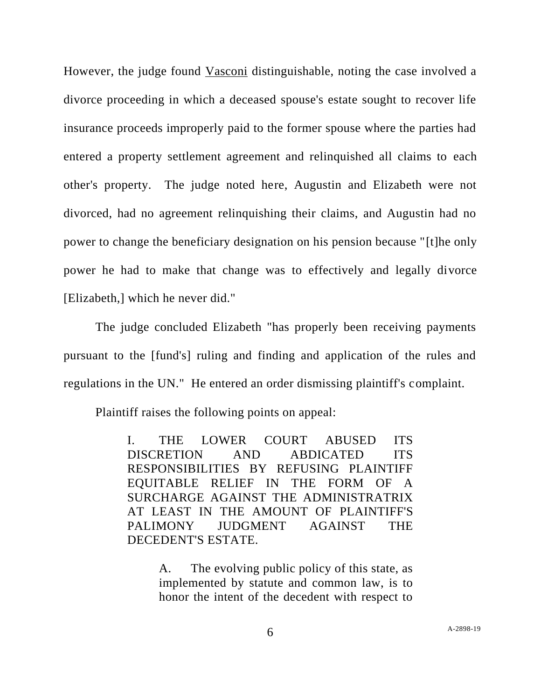However, the judge found Vasconi distinguishable, noting the case involved a divorce proceeding in which a deceased spouse's estate sought to recover life insurance proceeds improperly paid to the former spouse where the parties had entered a property settlement agreement and relinquished all claims to each other's property. The judge noted here, Augustin and Elizabeth were not divorced, had no agreement relinquishing their claims, and Augustin had no power to change the beneficiary designation on his pension because "[t]he only power he had to make that change was to effectively and legally divorce [Elizabeth,] which he never did."

The judge concluded Elizabeth "has properly been receiving payments pursuant to the [fund's] ruling and finding and application of the rules and regulations in the UN." He entered an order dismissing plaintiff's complaint.

Plaintiff raises the following points on appeal:

I. THE LOWER COURT ABUSED ITS DISCRETION AND ABDICATED ITS RESPONSIBILITIES BY REFUSING PLAINTIFF EQUITABLE RELIEF IN THE FORM OF A SURCHARGE AGAINST THE ADMINISTRATRIX AT LEAST IN THE AMOUNT OF PLAINTIFF'S PALIMONY JUDGMENT AGAINST THE DECEDENT'S ESTATE.

> A. The evolving public policy of this state, as implemented by statute and common law, is to honor the intent of the decedent with respect to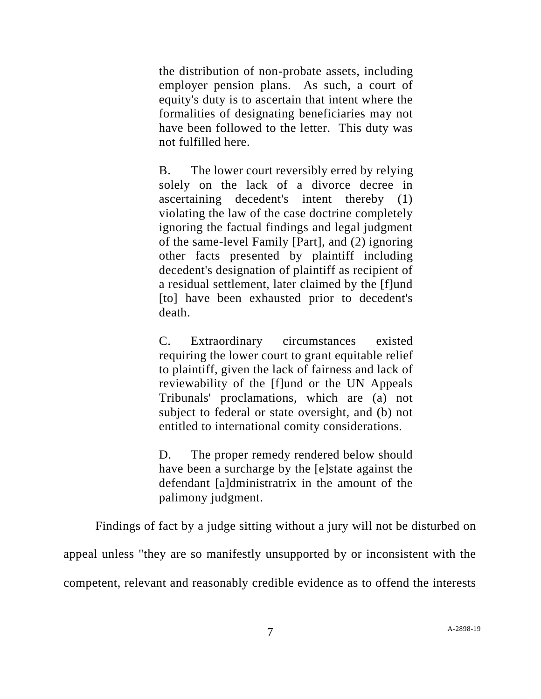the distribution of non-probate assets, including employer pension plans. As such, a court of equity's duty is to ascertain that intent where the formalities of designating beneficiaries may not have been followed to the letter. This duty was not fulfilled here.

B. The lower court reversibly erred by relying solely on the lack of a divorce decree in ascertaining decedent's intent thereby (1) violating the law of the case doctrine completely ignoring the factual findings and legal judgment of the same-level Family [Part], and (2) ignoring other facts presented by plaintiff including decedent's designation of plaintiff as recipient of a residual settlement, later claimed by the [f]und [to] have been exhausted prior to decedent's death.

C. Extraordinary circumstances existed requiring the lower court to grant equitable relief to plaintiff, given the lack of fairness and lack of reviewability of the [f]und or the UN Appeals Tribunals' proclamations, which are (a) not subject to federal or state oversight, and (b) not entitled to international comity considerations.

D. The proper remedy rendered below should have been a surcharge by the [e]state against the defendant [a]dministratrix in the amount of the palimony judgment.

Findings of fact by a judge sitting without a jury will not be disturbed on

appeal unless "they are so manifestly unsupported by or inconsistent with the

competent, relevant and reasonably credible evidence as to offend the interests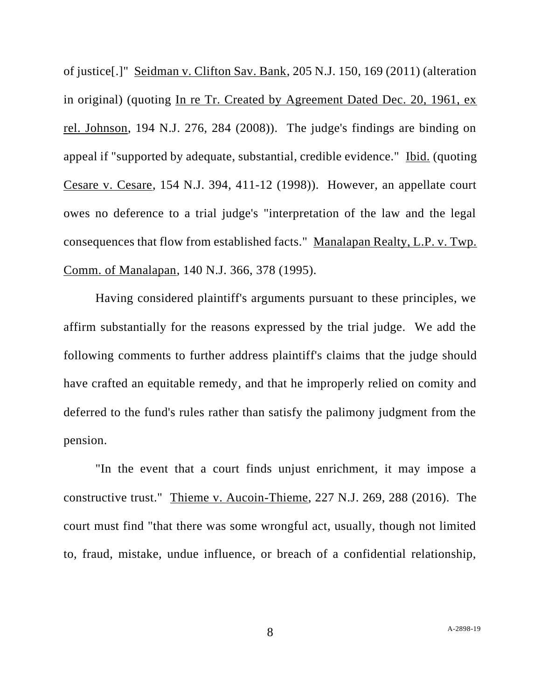of justice[.]" Seidman v. Clifton Sav. Bank, 205 N.J. 150, 169 (2011) (alteration in original) (quoting In re Tr. Created by Agreement Dated Dec. 20, 1961, ex rel. Johnson, 194 N.J. 276, 284 (2008)). The judge's findings are binding on appeal if "supported by adequate, substantial, credible evidence." Ibid. (quoting Cesare v. Cesare, 154 N.J. 394, 411-12 (1998)). However, an appellate court owes no deference to a trial judge's "interpretation of the law and the legal consequences that flow from established facts." Manalapan Realty, L.P. v. Twp. Comm. of Manalapan, 140 N.J. 366, 378 (1995).

Having considered plaintiff's arguments pursuant to these principles, we affirm substantially for the reasons expressed by the trial judge. We add the following comments to further address plaintiff's claims that the judge should have crafted an equitable remedy, and that he improperly relied on comity and deferred to the fund's rules rather than satisfy the palimony judgment from the pension.

"In the event that a court finds unjust enrichment, it may impose a constructive trust." Thieme v. Aucoin-Thieme, 227 N.J. 269, 288 (2016). The court must find "that there was some wrongful act, usually, though not limited to, fraud, mistake, undue influence, or breach of a confidential relationship,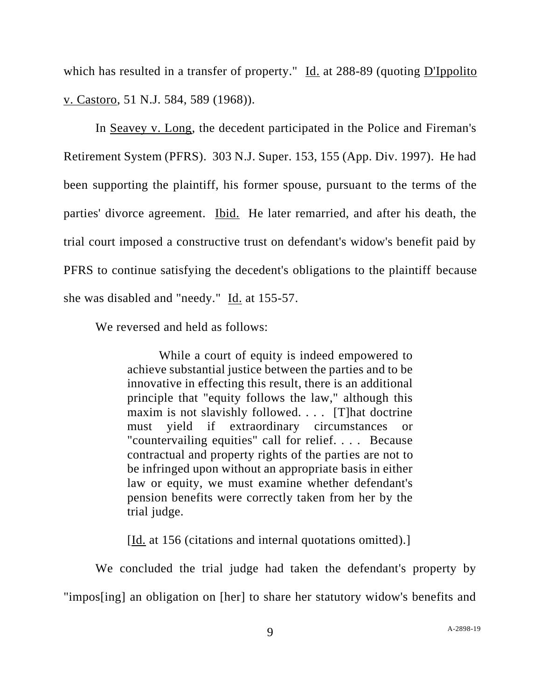which has resulted in a transfer of property." Id. at 288-89 (quoting D'Ippolito v. Castoro, 51 N.J. 584, 589 (1968)).

In Seavey v. Long, the decedent participated in the Police and Fireman's Retirement System (PFRS). 303 N.J. Super. 153, 155 (App. Div. 1997). He had been supporting the plaintiff, his former spouse, pursuant to the terms of the parties' divorce agreement. Ibid. He later remarried, and after his death, the trial court imposed a constructive trust on defendant's widow's benefit paid by PFRS to continue satisfying the decedent's obligations to the plaintiff because she was disabled and "needy." Id. at 155-57.

We reversed and held as follows:

While a court of equity is indeed empowered to achieve substantial justice between the parties and to be innovative in effecting this result, there is an additional principle that "equity follows the law," although this maxim is not slavishly followed. . . . [T]hat doctrine must yield if extraordinary circumstances or "countervailing equities" call for relief. . . . Because contractual and property rights of the parties are not to be infringed upon without an appropriate basis in either law or equity, we must examine whether defendant's pension benefits were correctly taken from her by the trial judge.

[Id. at 156 (citations and internal quotations omitted).]

We concluded the trial judge had taken the defendant's property by "impos[ing] an obligation on [her] to share her statutory widow's benefits and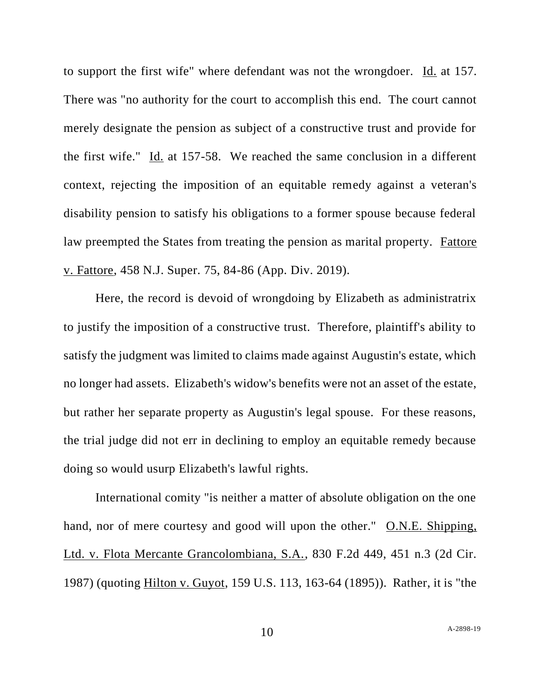to support the first wife" where defendant was not the wrongdoer. Id. at 157. There was "no authority for the court to accomplish this end. The court cannot merely designate the pension as subject of a constructive trust and provide for the first wife." Id. at 157-58. We reached the same conclusion in a different context, rejecting the imposition of an equitable remedy against a veteran's disability pension to satisfy his obligations to a former spouse because federal law preempted the States from treating the pension as marital property. Fattore v. Fattore, 458 N.J. Super. 75, 84-86 (App. Div. 2019).

Here, the record is devoid of wrongdoing by Elizabeth as administratrix to justify the imposition of a constructive trust. Therefore, plaintiff's ability to satisfy the judgment was limited to claims made against Augustin's estate, which no longer had assets. Elizabeth's widow's benefits were not an asset of the estate, but rather her separate property as Augustin's legal spouse. For these reasons, the trial judge did not err in declining to employ an equitable remedy because doing so would usurp Elizabeth's lawful rights.

International comity "is neither a matter of absolute obligation on the one hand, nor of mere courtesy and good will upon the other." O.N.E. Shipping, Ltd. v. Flota Mercante Grancolombiana, S.A., 830 F.2d 449, 451 n.3 (2d Cir. 1987) (quoting Hilton v. Guyot, 159 U.S. 113, 163-64 (1895)). Rather, it is "the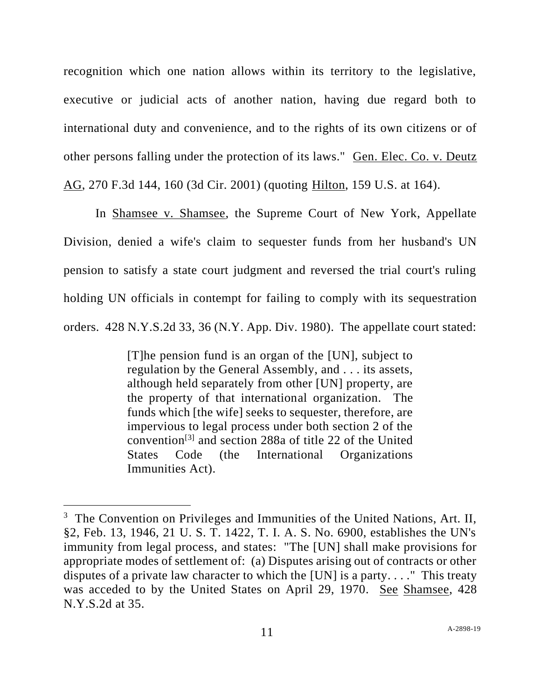recognition which one nation allows within its territory to the legislative, executive or judicial acts of another nation, having due regard both to international duty and convenience, and to the rights of its own citizens or of other persons falling under the protection of its laws." Gen. Elec. Co. v. Deutz AG, 270 F.3d 144, 160 (3d Cir. 2001) (quoting Hilton, 159 U.S. at 164).

In Shamsee v. Shamsee, the Supreme Court of New York, Appellate Division, denied a wife's claim to sequester funds from her husband's UN pension to satisfy a state court judgment and reversed the trial court's ruling holding UN officials in contempt for failing to comply with its sequestration orders. 428 N.Y.S.2d 33, 36 (N.Y. App. Div. 1980). The appellate court stated:

> [T]he pension fund is an organ of the [UN], subject to regulation by the General Assembly, and . . . its assets, although held separately from other [UN] property, are the property of that international organization. The funds which [the wife] seeks to sequester, therefore, are impervious to legal process under both section 2 of the convention[3] and section 288a of title 22 of the United States Code (the International Organizations Immunities Act).

<sup>&</sup>lt;sup>3</sup> The Convention on Privileges and Immunities of the United Nations, Art. II, §2, Feb. 13, 1946, 21 U. S. T. 1422, T. I. A. S. No. 6900, establishes the UN's immunity from legal process, and states: "The [UN] shall make provisions for appropriate modes of settlement of: (a) Disputes arising out of contracts or other disputes of a private law character to which the [UN] is a party. . . ." This treaty was acceded to by the United States on April 29, 1970. See Shamsee, 428 N.Y.S.2d at 35.